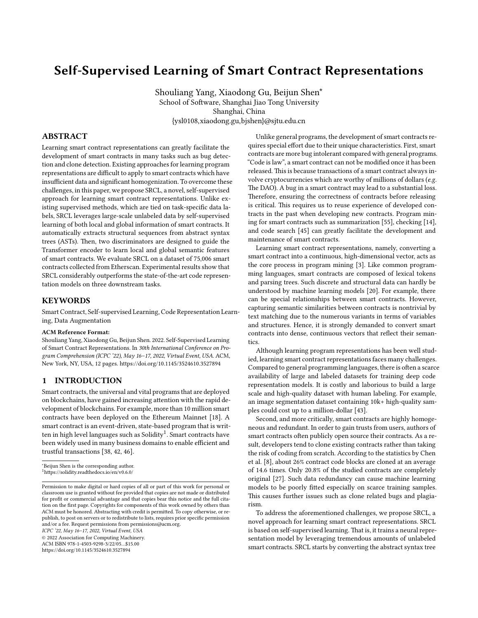# **Self-Supervised Learning of Smart Contract Representations**

Shouliang Yang, Xiaodong Gu, Beijun Shen∗ School of Software, Shanghai Jiao Tong University Shanghai, China {ysl0108,xiaodong.gu,bjshen}@sjtu.edu.cn

## **ABSTRACT**

Learning smart contract representations can greatly facilitate the development of smart contracts in many tasks such as bug detection and clone detection. Existing approaches for learning program representations are difficult to apply to smart contracts which have insufficient data and significant homogenization. To overcome these challenges, in this paper, we propose SRCL, a novel, self-supervised approach for learning smart contract representations. Unlike existing supervised methods, which are tied on task-specific data labels, SRCL leverages large-scale unlabeled data by self-supervised learning of both local and global information of smart contracts. It automatically extracts structural sequences from abstract syntax trees (ASTs). Then, two discriminators are designed to guide the Transformer encoder to learn local and global semantic features of smart contracts. We evaluate SRCL on a dataset of 75,006 smart contracts collected from Etherscan. Experimental results show that SRCL considerably outperforms the state-of-the-art code representation models on three downstream tasks.

#### **KEYWORDS**

Smart Contract, Self-supervised Learning, Code Representation Learning, Data Augmentation

#### **ACM Reference Format:**

Shouliang Yang, Xiaodong Gu, Beijun Shen. 2022. Self-Supervised Learning of Smart Contract Representations. In *30th International Conference on Program Comprehension (ICPC '22), May 16–17, 2022, Virtual Event, USA.* ACM, New York, NY, USA, [12](#page-11-0) pages. <https://doi.org/10.1145/3524610.3527894>

#### **1 INTRODUCTION**

Smart contracts, the universal and vital programs that are deployed on blockchains, have gained increasing attention with the rapid development of blockchains. For example, more than 10 million smart contracts have been deployed on the Ethereum Mainnet [\[18\]](#page-10-0). A smart contract is an event-driven, state-based program that is written in high level languages such as Solidity $^1$  $^1$ . Smart contracts have been widely used in many business domains to enable efficient and trustful transactions [\[38,](#page-10-1) [42](#page-10-2), [46\]](#page-10-3).

*ICPC '22, May 16–17, 2022, Virtual Event, USA*

© 2022 Association for Computing Machinery.

ACM ISBN 978-1-4503-9298-3/22/05…\$15.00 <https://doi.org/10.1145/3524610.3527894>

Unlike general programs, the development of smart contracts requires special effort due to their unique characteristics. First, smart contracts are more bug intolerant compared with general programs. "Code is law", a smart contract can not be modified once it has been released. This is because transactions of a smart contract always involve cryptocurrencies which are worthy of millions of dollars (*e.g.* The DAO). A bug in a smart contract may lead to a substantial loss. Therefore, ensuring the correctness of contracts before releasing is critical. This requires us to reuse experience of developed contracts in the past when developing new contracts. Program mining for smart contracts such as summarization[[55](#page-11-1)], checking[[14](#page-10-4)], and code search[[45](#page-10-5)] can greatly facilitate the development and maintenance of smart contracts.

Learning smart contract representations, namely, converting a smart contract into a continuous, high-dimensional vector, acts as the core process in program mining [\[3](#page-9-0)]. Like common programming languages, smart contracts are composed of lexical tokens and parsing trees. Such discrete and structural data can hardly be understood by machine learning models[[20](#page-10-6)]. For example, there can be special relationships between smart contracts. However, capturing semantic similarities between contracts is nontrivial by text matching due to the numerous variants in terms of variables and structures. Hence, it is strongly demanded to convert smart contracts into dense, continuous vectors that reflect their semantics.

Although learning program representations has been well studied, learning smart contract representations faces many challenges. Compared to general programming languages, there is often a scarce availability of large and labeled datasets for training deep code representation models. It is costly and laborious to build a large scale and high-quality dataset with human labeling. For example, an image segmentation dataset containing 10k+ high-quality samples could cost up to a million-dollar [\[43\]](#page-10-7).

Second, and more critically, smart contracts are highly homogeneous and redundant. In order to gain trusts from users, authors of smart contracts often publicly open source their contracts. As a result, developers tend to clone existing contracts rather than taking the risk of coding from scratch. According to the statistics by Chen et al.[[8](#page-10-8)], about 26% contract code blocks are cloned at an average of 14.6 times. Only 20.8% of the studied contracts are completely original[[27\]](#page-10-9). Such data redundancy can cause machine learning models to be poorly fitted especially on scarce training samples. This causes further issues such as clone related bugs and plagiarism.

To address the aforementioned challenges, we propose SRCL, a novel approach for learning smart contract representations. SRCL is based on self-supervised learning. That is, it trains a neural representation model by leveraging tremendous amounts of unlabeled smart contracts. SRCL starts by converting the abstract syntax tree

<sup>∗</sup>Beijun Shen is the corresponding author.

<span id="page-0-0"></span><sup>1</sup>https://solidity.readthedocs.io/en/v0.6.0/

Permission to make digital or hard copies of all or part of this work for personal or classroom use is granted without fee provided that copies are not made or distributed for profit or commercial advantage and that copies bear this notice and the full citation on the first page. Copyrights for components of this work owned by others than ACM must be honored. Abstracting with credit is permitted. To copy otherwise, or republish, to post on servers or to redistribute to lists, requires prior specific permission and/or a fee. Request permissions from permissions@acm.org.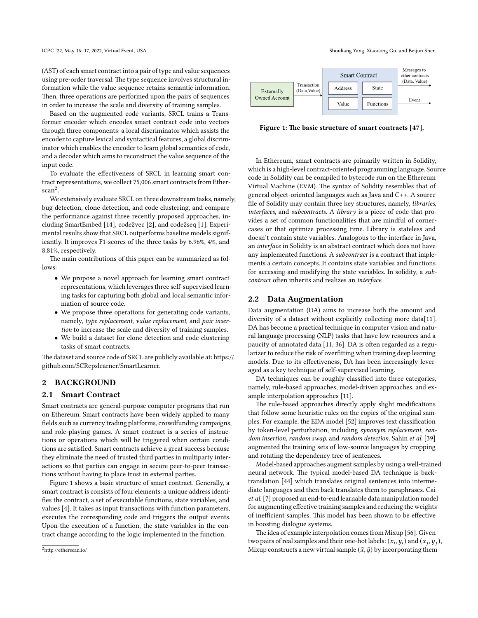(AST) of each smart contract into a pair of type and value sequences using pre-order traversal. The type sequence involves structural information while the value sequence retains semantic information. Then, three operations are performed upon the pairs of sequences in order to increase the scale and diversity of training samples.

Based on the augmented code variants, SRCL trains a Transformer encoder which encodes smart contract code into vectors through three components: a local discriminator which assists the encoder to capture lexical and syntactical features, a global discriminator which enables the encoder to learn global semantics of code, and a decoder which aims to reconstruct the value sequence of the input code.

To evaluate the effectiveness of SRCL in learning smart contract representations, we collect 75,006 smart contracts from Etherscan[2](#page-1-0) .

We extensively evaluate SRCL on three downstream tasks, namely, bug detection, clone detection, and code clustering, and compare the performance against three recently proposed approaches, including SmartEmbed[[14](#page-10-4)], code2vec[[2\]](#page-9-1), and code2seq[[1](#page-9-2)]. Experimental results show that SRCL outperforms baseline models significantly. It improves F1-scores of the three tasks by 6.96%, 4%, and 8.81%, respectively.

The main contributions of this paper can be summarized as follows:

- We propose a novel approach for learning smart contract representations, which leverages three self-supervised learning tasks for capturing both global and local semantic information of source code.
- We propose three operations for generating code variants, namely, *type replacement*, *value replacement*, and *pair insertion* to increase the scale and diversity of training samples.
- We build a dataset for clone detection and code clustering tasks of smart contracts.

The dataset and source code of SRCL are publicly available at: https:// github.com/SCRepslearner/SmartLearner.

## **2 BACKGROUND**

## **2.1 Smart Contract**

Smart contracts are general-purpose computer programs that run on Ethereum. Smart contracts have been widely applied to many fields such as currency trading platforms, crowdfunding campaigns, and role-playing games. A smart contract is a series of instructions or operations which will be triggered when certain conditions are satisfied. Smart contracts achieve a great success because they eliminate the need of trusted third parties in multiparty interactions so that parties can engage in secure peer-to-peer transactions without having to place trust in external parties.

Figure [1](#page-1-1) shows a basic structure of smart contract. Generally, a smart contract is consists of four elements: a unique address identifies the contract, a set of executable functions, state variables, and values [\[4](#page-9-3)]. It takes as input transactions with function parameters, executes the corresponding code and triggers the output events. Upon the execution of a function, the state variables in the contract change according to the logic implemented in the function.

ICPC '22, May 16-17, 2022, Virtual Event, USA Shouliang Yang, Xiaodong Gu, and Beijun Shen

<span id="page-1-1"></span>

**Figure 1: The basic structure of smart contracts [\[47\]](#page-10-10).**

In Ethereum, smart contracts are primarily written in Solidity, which is a high-level contract-oriented programming language. Source code in Solidity can be compiled to bytecode run on the Ethereum Virtual Machine (EVM). The syntax of Solidity resembles that of general object-oriented languages such as Java and C++. A source file of Solidity may contain three key structures, namely, *libraries*, *interfaces*, and *subcontracts*. A *library* is a piece of code that provides a set of common functionalities that are mindful of cornercases or that optimize processing time. Library is stateless and doesn't contain state variables. Analogous to the interface in Java, an *interface* in Solidity is an abstract contract which does not have any implemented functions. A *subcontract* is a contract that implements a certain concepts. It contains state variables and functions for accessing and modifying the state variables. In solidity, a *subcontract* often inherits and realizes an *interface*.

#### **2.2 Data Augmentation**

Data augmentation (DA) aims to increase both the amount and diversity of a dataset without explicitly collecting more data[\[11](#page-10-11)]. DA has become a practical technique in computer vision and natural language processing (NLP) tasks that have low resources and a paucity of annotated data [\[11](#page-10-11), [36](#page-10-12)]. DA is often regarded as a regularizer to reduce the risk of overfitting when training deep learning models. Due to its effectiveness, DA has been increasingly leveraged as a key technique of self-supervised learning.

DA techniques can be roughly classified into three categories, namely, rule-based approaches, model-driven approaches, and example interpolation approaches [\[11\]](#page-10-11).

The rule-based approaches directly apply slight modifications that follow some heuristic rules on the copies of the original samples. For example, the EDA model[[52\]](#page-11-2) improves text classification by token-level perturbation, including *synonym replacement*, *random insertion*, *random swap*, and *random detection*. Sahin *et al.* [[39](#page-10-13)] augmented the training sets of low-source languages by cropping and rotating the dependency tree of sentences.

Model-based approaches augment samples by using a well-trained neural network. The typical model-based DA technique is backtranslation[[44\]](#page-10-14) which translates original sentences into intermediate languages and then back translates them to paraphrases. Cai *et al.*[[7](#page-10-15)] proposed an end-to-end learnable data manipulation model for augmenting effective training samples and reducing the weights of inefficient samples. This model has been shown to be effective in boosting dialogue systems.

The idea of example interpolation comes from Mixup[[56\]](#page-11-3). Given two pairs of real samples and their one-hot labels:  $(x_i, y_i)$  and  $(x_j, y_j)$ , Mixup constructs a new virtual sample  $(\tilde{x}, \tilde{y})$  by incorporating them

<span id="page-1-0"></span><sup>2</sup>http://etherscan.io/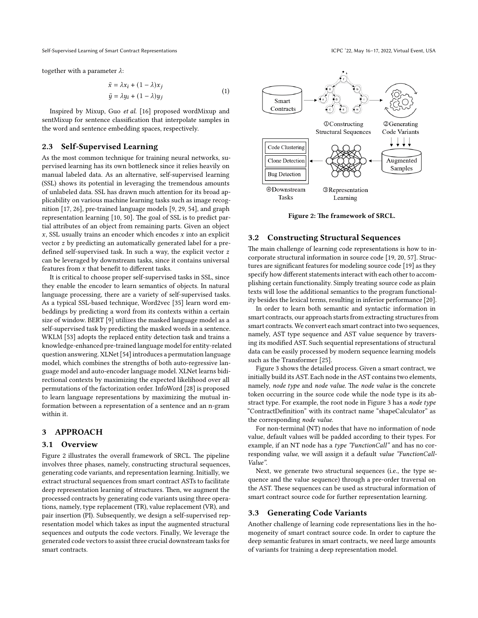together with a parameter  $\lambda$ :

$$
\tilde{x} = \lambda x_i + (1 - \lambda)x_j
$$
  
\n
$$
\tilde{y} = \lambda y_i + (1 - \lambda)y_j
$$
\n(1)

Inspired by Mixup, Guo *et al.* [[16](#page-10-16)] proposed wordMixup and sentMixup for sentence classification that interpolate samples in the word and sentence embedding spaces, respectively.

## **2.3 Self-Supervised Learning**

As the most common technique for training neural networks, supervised learning has its own bottleneck since it relies heavily on manual labeled data. As an alternative, self-supervised learning (SSL) shows its potential in leveraging the tremendous amounts of unlabeled data. SSL has drawn much attention for its broad applicability on various machine learning tasks such as image recognition [\[17,](#page-10-17) [26](#page-10-18)], pre-trained language models [\[9](#page-10-19), [29,](#page-10-20) [54](#page-11-4)], and graph representation learning[[10,](#page-10-21) [50\]](#page-10-22). The goal of SSL is to predict partial attributes of an object from remaining parts. Given an object  $x$ , SSL usually trains an encoder which encodes  $x$  into an explicit vector  $z$  by predicting an automatically generated label for a predefined self-supervised task. In such a way, the explicit vector  $z$ can be leveraged by downstream tasks, since it contains universal features from  $x$  that benefit to different tasks.

It is critical to choose proper self-supervised tasks in SSL, since they enable the encoder to learn semantics of objects. In natural language processing, there are a variety of self-supervised tasks. As a typical SSL-based technique, Word2vec[[35](#page-10-23)] learn word embeddings by predicting a word from its contexts within a certain size of window. BERT[[9\]](#page-10-19) utilizes the masked language model as a self-supervised task by predicting the masked words in a sentence. WKLM [\[53\]](#page-11-5) adopts the replaced entity detection task and trains a knowledge-enhanced pre-trained language model for entity-related question answering. XLNet[[54](#page-11-4)] introduces a permutation language model, which combines the strengths of both auto-regressive language model and auto-encoder language model. XLNet learns bidirectional contexts by maximizing the expected likelihood over all permutations of the factorization order. InfoWord[[28](#page-10-24)] is proposed to learn language representations by maximizing the mutual information between a representation of a sentence and an n-gram within it.

#### **3 APPROACH**

#### **3.1 Overview**

Figure [2](#page-2-0) illustrates the overall framework of SRCL. The pipeline involves three phases, namely, constructing structural sequences, generating code variants, and representation learning. Initially, we extract structural sequences from smart contract ASTs to facilitate deep representation learning of structures. Then, we augment the processed contracts by generating code variants using three operations, namely, type replacement (TR), value replacement (VR), and pair insertion (PI). Subsequently, we design a self-supervised representation model which takes as input the augmented structural sequences and outputs the code vectors. Finally, We leverage the generated code vectors to assist three crucial downstream tasks for smart contracts.

<span id="page-2-0"></span>

**Figure 2: The framework of SRCL.**

#### **3.2 Constructing Structural Sequences**

The main challenge of learning code representations is how to incorporate structural information in source code[[19](#page-10-25), [20,](#page-10-6) [57](#page-11-6)]. Structures are significant features for modeling source code [\[19\]](#page-10-25) as they specify how different statements interact with each other to accomplishing certain functionality. Simply treating source code as plain texts will lose the additional semantics to the program functionality besides the lexical terms, resulting in inferior performance [\[20](#page-10-6)].

In order to learn both semantic and syntactic information in smart contracts, our approach starts from extracting structures from smart contracts. We convert each smart contract into two sequences, namely, AST type sequence and AST value sequence by traversing its modified AST. Such sequential representations of structural data can be easily processed by modern sequence learning models such as the Transformer [\[25\]](#page-10-26).

Figure [3](#page-3-0) shows the detailed process. Given a smart contract, we initially build its AST. Each node in the AST contains two elements, namely, *node type* and *node value*. The *node value* is the concrete token occurring in the source code while the node type is its abstract type. For example, the root node in Figure [3](#page-3-0) has a *node type* "ContractDefinition" with its contract name "shapeCalculator" as the corresponding *node value*.

For non-terminal (NT) nodes that have no information of node value, default values will be padded according to their types. For example, if an NT node has a *type "FunctionCall"* and has no corresponding *value*, we will assign it a default *value "FunctionCall-Value"*.

Next, we generate two structural sequences (i.e., the type sequence and the value sequence) through a pre-order traversal on the AST. These sequences can be used as structural information of smart contract source code for further representation learning.

#### **3.3 Generating Code Variants**

Another challenge of learning code representations lies in the homogeneity of smart contract source code. In order to capture the deep semantic features in smart contracts, we need large amounts of variants for training a deep representation model.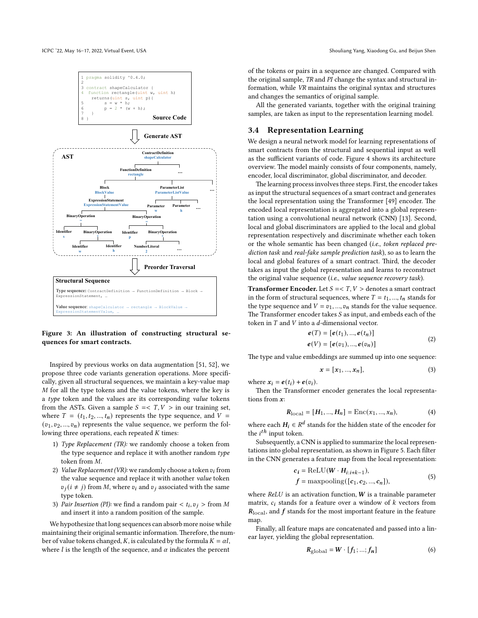<span id="page-3-0"></span>

**Figure 3: An illustration of constructing structural sequences for smart contracts.**

Inspired by previous works on data augmentation [\[51,](#page-11-7) [52\]](#page-11-2), we propose three code variants generation operations. More specifically, given all structural sequences, we maintain a key-value map  $M$  for all the type tokens and the value tokens, where the key is a *type* token and the values are its corresponding *value* tokens from the ASTs. Given a sample  $S = < T, V >$  in our training set, where  $T = (t_1, t_2, ..., t_n)$  represents the type sequence, and  $V =$  $(v_1, v_2, ..., v_n)$  represents the value sequence, we perform the following three operations, each repeated  $K$  times:

- 1) *Type Replacement (TR):* we randomly choose a token from the type sequence and replace it with another random *type* token from  $M$ .
- 2) *Value Replacement (VR):* we randomly choose a token  $v_i$  from the value sequence and replace it with another *value* token  $v_j$ ( $i \neq j$ ) from M, where  $v_i$  and  $v_j$  associated with the same type token.
- 3) *Pair Insertion (PI)*: we find a random pair  $\langle t_i, v_j \rangle$  from M and insert it into a random position of the sample.

We hypothesize that long sequences can absorb more noise while maintaining their original semantic information.Therefore, the number of value tokens changed, K, is calculated by the formula  $K = \alpha l$ , where  $l$  is the length of the sequence, and  $\alpha$  indicates the percent

of the tokens or pairs in a sequence are changed. Compared with the original sample, *TR* and *PI* change the syntax and structural information, while *VR* maintains the original syntax and structures and changes the semantics of original sample.

All the generated variants, together with the original training samples, are taken as input to the representation learning model.

## **3.4 Representation Learning**

We design a neural network model for learning representations of smart contracts from the structural and sequential input as well as the sufficient variants of code. Figure [4](#page-4-0) shows its architecture overview. The model mainly consists of four components, namely, encoder, local discriminator, global discriminator, and decoder.

The learning process involves three steps. First, the encoder takes as input the structural sequences of a smart contract and generates the local representation using the Transformer [\[49\]](#page-10-27) encoder. The encoded local representation is aggregated into a global representation using a convolutional neural network (CNN)[[13](#page-10-28)]. Second, local and global discriminators are applied to the local and global representation respectively and discriminate whether each token or the whole semantic has been changed (*i.e.*, *token replaced prediction task* and *real-fake sample prediction task*), so as to learn the local and global features of a smart contract. Third, the decoder takes as input the global representation and learns to reconstruct the original value sequence (*i.e.*, *value sequence recovery task*).

**Transformer Encoder.** Let  $S = < T, V >$  denotes a smart contract in the form of structural sequences, where  $T = t_1, ..., t_n$  stands for the type sequence and  $V = v_1, ..., v_n$  stands for the value sequence. The Transformer encoder takes  $S$  as input, and embeds each of the token in  $T$  and  $V$  into a  $d$ -dimensional vector.

$$
e(T) = [e(t_1), ..., e(t_n)]
$$
  
\n
$$
e(V) = [e(v_1), ..., e(v_n)]
$$
\n(2)

The type and value embeddings are summed up into one sequence:

$$
x = [x_1, ..., x_n],
$$
 (3)

where  $x_i = e(t_i) + e(v_i)$ .

Then the Transformer encoder generates the local representations from  $x$ :

$$
R_{\text{local}} = [H_1, ..., H_n] = \text{Enc}(x_1, ..., x_n),\tag{4}
$$

where each  $H_i \in \mathbb{R}^d$  stands for the hidden state of the encoder for the *i<sup>th</sup>* input token.

Subsequently, a CNN is applied to summarize the local representations into global representation, as shown in Figure [5](#page-4-1). Each filter in the CNN generates a feature map from the local representation:

$$
c_i = \text{ReLU}(W \cdot H_{i:i+k-1}),
$$
  

$$
f = \text{maxpooling}([\mathbf{c}_1, \mathbf{c}_2, ..., \mathbf{c}_n]),
$$
 (5)

where  $ReLU$  is an activation function,  $W$  is a trainable parameter matrix,  $c_i$  stands for a feature over a window of  $k$  vectors from  $R_{\text{local}}$ , and f stands for the most important feature in the feature map.

Finally, all feature maps are concatenated and passed into a linear layer, yielding the global representation.

$$
\mathbf{R}_{\text{global}} = \mathbf{W} \cdot [f_1; \dots; f_n] \tag{6}
$$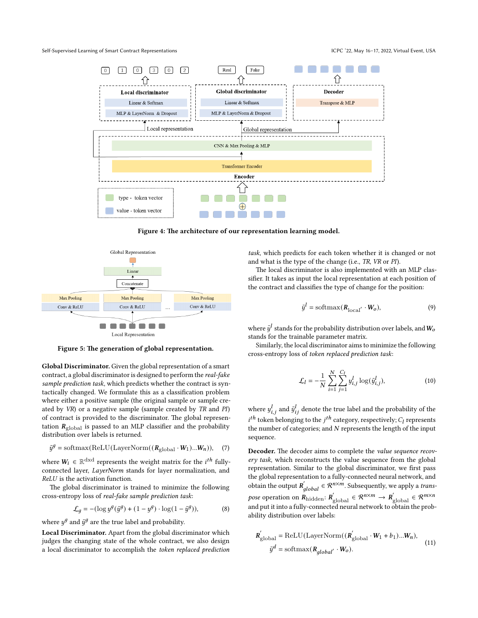<span id="page-4-0"></span>

**Figure 4: The architecture of our representation learning model.**

<span id="page-4-1"></span>

**Figure 5: The generation of global representation.**

**Global Discriminator.** Given the global representation of a smart contract, a global discriminator is designed to perform the *real-fake sample prediction task*, which predicts whether the contract is syntactically changed. We formulate this as a classification problem where either a positive sample (the original sample or sample created by *VR*) or a negative sample (sample created by *TR* and *PI*) of contract is provided to the discriminator. The global representation  $R_{\text{global}}$  is passed to an MLP classifier and the probability distribution over labels is returned.

$$
\tilde{y}^{g} = \text{softmax}(\text{ReLU}(\text{LayerNorm}((R_{\text{global}} \cdot W_{1})...W_{n})), \quad (7)
$$

where  $W_i \in \mathbb{R}^{d \times d}$  represents the weight matrix for the  $i^{th}$  fullyconnected layer, *LayerNorm* stands for layer normalization, and *ReLU* is the activation function.

The global discriminator is trained to minimize the following cross-entropy loss of *real-fake sample prediction task*:

$$
\mathcal{L}_g = -(\log y^g(\tilde{y}^g) + (1 - y^g) \cdot \log(1 - \tilde{y}^g)),\tag{8}
$$

where  $y^g$  and  $\tilde{y}^g$  are the true label and probability.

**Local Discriminator.** Apart from the global discriminator which judges the changing state of the whole contract, we also design a local discriminator to accomplish the *token replaced prediction* *task*, which predicts for each token whether it is changed or not and what is the type of the change (i.e., *TR*, *VR* or *PI*).

The local discriminator is also implemented with an MLP classifier. It takes as input the local representation at each position of the contract and classifies the type of change for the position:

$$
\tilde{y}^l = \text{softmax}(\mathbf{R}_{\text{local}'} \cdot \mathbf{W}_o),\tag{9}
$$

where  $\tilde{y}^l$  stands for the probability distribution over labels, and  $W_o$ stands for the trainable parameter matrix.

Similarly, the local discriminator aims to minimize the following cross-entropy loss of *token replaced prediction task*:

$$
\mathcal{L}_l = -\frac{1}{N} \sum_{i=1}^{N} \sum_{j=1}^{C_l} y_{i,j}^l \log(\tilde{y}_{i,j}^l),
$$
 (10)

where  $y_{i,j}^l$  and  $\tilde{y}_{ij}^l$  denote the true label and the probability of the  $i^{th}$  token belonging to the  $j^{th}$  category, respectively;  $C_l$  represents the number of categories; and  $N$  represents the length of the input sequence.

**Decoder.** The decoder aims to complete the *value sequence recovery task*, which reconstructs the value sequence from the global representation. Similar to the global discriminator, we first pass the global representation to a fully-connected neural network, and obtain the output  $R'_{global} \in \mathcal{R}^{n \times m}$ . Subsequently, we apply a *transpose* operation on  $\mathbf{R}_{\text{hidden}}$ :  $\mathbf{R}_{\text{global}}' \in \mathcal{R}^{n \times m} \to \mathbf{R}_{\text{global}}' \in \mathcal{R}^{m \times n}$ and put it into a fully-connected neural network to obtain the probability distribution over labels:

$$
\begin{aligned} \mathbf{R}_{\text{global}}^{'} &= \text{ReLU}(\text{LayerNorm}((\mathbf{R}_{\text{global}}^{'} \cdot \mathbf{W}_{1} + b_{1})...W_{n}), \\ \tilde{y}^{d} &= \text{softmax}(\mathbf{R}_{global^{'}} \cdot \mathbf{W}_{o}). \end{aligned} \tag{11}
$$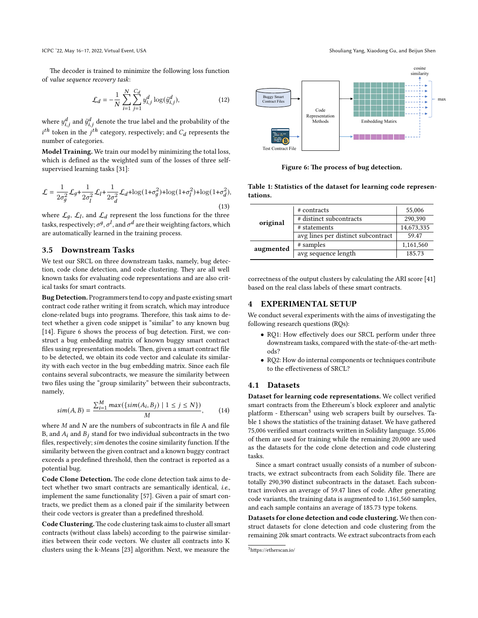The decoder is trained to minimize the following loss function of *value sequence recovery task*:

$$
\mathcal{L}_d = -\frac{1}{N} \sum_{i=1}^{N} \sum_{j=1}^{C_d} y_{i,j}^d \log(\tilde{y}_{i,j}^d),
$$
 (12)

where  $y_{i,j}^d$  and  $\tilde{y}_{i,j}^d$  denote the true label and the probability of the  $i^{th}$  token in the  $j^{th}$  category, respectively; and  $C_d$  represents the number of categories.

**Model Training.** We train our model by minimizing the total loss, which is defined as the weighted sum of the losses of three selfsupervised learning tasks [\[31](#page-10-29)]:

$$
\mathcal{L} = \frac{1}{2\sigma_g^2} \mathcal{L}_g + \frac{1}{2\sigma_l^2} \mathcal{L}_l + \frac{1}{2\sigma_d^2} \mathcal{L}_d + \log(1 + \sigma_g^2) + \log(1 + \sigma_l^2) + \log(1 + \sigma_d^2),\tag{13}
$$

where  $\mathcal{L}_g$ ,  $\mathcal{L}_l$ , and  $\mathcal{L}_d$  represent the loss functions for the three tasks, respectively;  $\sigma^g$ ,  $\sigma^l$ , and  $\sigma^d$  are their weighting factors, which are automatically learned in the training process.

#### **3.5 Downstream Tasks**

We test our SRCL on three downstream tasks, namely, bug detection, code clone detection, and code clustering. They are all well known tasks for evaluating code representations and are also critical tasks for smart contracts.

**Bug Detection.** Programmers tend to copy and paste existing smart contract code rather writing it from scratch, which may introduce clone-related bugs into programs. Therefore, this task aims to detect whether a given code snippet is "similar" to any known bug [[14](#page-10-4)]. Figure [6](#page-5-0) shows the process of bug detection. First, we construct a bug embedding matrix of known buggy smart contract files using representation models. Then, given a smart contract file to be detected, we obtain its code vector and calculate its similarity with each vector in the bug embedding matrix. Since each file contains several subcontracts, we measure the similarity between two files using the "group similarity" between their subcontracts, namely,

$$
sim(A, B) = \frac{\sum_{i=1}^{M} max(\{sim(A_i, B_j) \mid 1 \le j \le N\})}{M}, \quad (14)
$$

where  $M$  and  $N$  are the numbers of subcontracts in file  $A$  and file B, and  $A_i$  and  $B_j$  stand for two individual subcontracts in the two files, respectively; sim denotes the cosine similarity function. If the similarity between the given contract and a known buggy contract exceeds a predefined threshold, then the contract is reported as a potential bug.

**Code Clone Detection.** The code clone detection task aims to detect whether two smart contracts are semantically identical, *i.e.*, implement the same functionality [\[57\]](#page-11-6). Given a pair of smart contracts, we predict them as a cloned pair if the similarity between their code vectors is greater than a predefined threshold.

**Code Clustering.**The code clustering task aims to cluster all smart contracts (without class labels) according to the pairwise similarities between their code vectors. We cluster all contracts into K clusters using the k-Means[[23](#page-10-30)] algorithm. Next, we measure the



<span id="page-5-0"></span>

**Figure 6: The process of bug detection.**

<span id="page-5-2"></span>**Table 1: Statistics of the dataset for learning code representations.**

| original  | # contracts                        | 55,006     |
|-----------|------------------------------------|------------|
|           | # distinct subcontracts            | 290.390    |
|           | # statements                       | 14,673,335 |
|           | avg lines per distinct subcontract | 59.47      |
| augmented | # samples                          | 1,161,560  |
|           | avg sequence length                | 185.73     |

correctness of the output clusters by calculating the ARI score[[41](#page-10-31)] based on the real class labels of these smart contracts.

## **4 EXPERIMENTAL SETUP**

We conduct several experiments with the aims of investigating the following research questions (RQs):

- RQ1: How effectively does our SRCL perform under three downstream tasks, compared with the state-of-the-art methods?
- RQ2: How do internal components or techniques contribute to the effectiveness of SRCL?

## **4.1 Datasets**

**Dataset for learning code representations.** We collect verified smart contracts from the Ethereum's block explorer and analytic platform - Etherscan<sup>[3](#page-5-1)</sup> using web scrapers built by ourselves. Table [1](#page-5-2) shows the statistics of the training dataset. We have gathered 75,006 verified smart contracts written in Solidity language. 55,006 of them are used for training while the remaining 20,000 are used as the datasets for the code clone detection and code clustering tasks.

Since a smart contract usually consists of a number of subcontracts, we extract subcontracts from each Solidity file. There are totally 290,390 distinct subcontracts in the dataset. Each subcontract involves an average of 59.47 lines of code. After generating code variants, the training data is augmented to 1,161,560 samples, and each sample contains an average of 185.73 type tokens.

**Datasets for clone detection and code clustering.** We then construct datasets for clone detection and code clustering from the remaining 20k smart contracts. We extract subcontracts from each

<span id="page-5-1"></span><sup>3</sup>https://etherscan.io/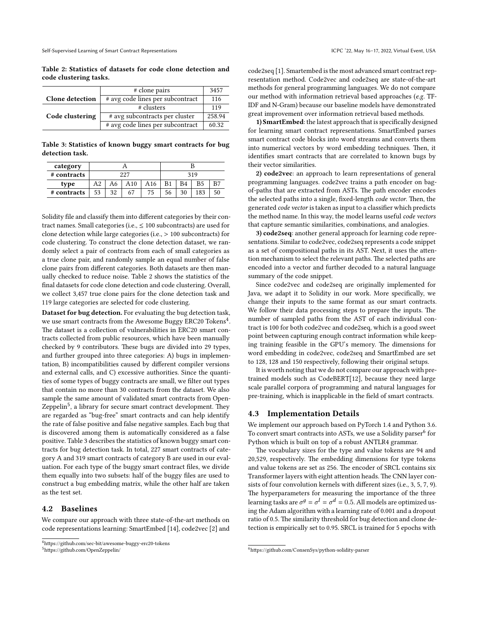<span id="page-6-0"></span>**Table 2: Statistics of datasets for code clone detection and code clustering tasks.**

|                        | # clone pairs                    | 3457   |
|------------------------|----------------------------------|--------|
| <b>Clone</b> detection | # avg code lines per subcontract | 116    |
|                        | # clusters                       | 119    |
| Code clustering        | # avg subcontracts per cluster   | 258.94 |
|                        | # avg code lines per subcontract | 60.32  |

<span id="page-6-3"></span>**Table 3: Statistics of known buggy smart contracts for bug detection task.**

| category    |     |    |     |     |    |    |     |  |
|-------------|-----|----|-----|-----|----|----|-----|--|
| # contracts | 227 |    |     | 319 |    |    |     |  |
| type        | A2  | A6 | A10 | A16 | B1 |    | B5  |  |
| # contracts | 53  | 32 | 67  | 75  | 56 | 30 | 183 |  |

Solidity file and classify them into different categories by their contract names. Small categories (i.e., ≤ 100 subcontracts) are used for clone detection while large categories (i.e., *>* 100 subcontracts) for code clustering. To construct the clone detection dataset, we randomly select a pair of contracts from each of small categories as a true clone pair, and randomly sample an equal number of false clone pairs from different categories. Both datasets are then manually checked to reduce noise. Table [2](#page-6-0) shows the statistics of the final datasets for code clone detection and code clustering. Overall, we collect 3,457 true clone pairs for the clone detection task and 119 large categories are selected for code clustering.

**Dataset for bug detection.** For evaluating the bug detection task, we use smart contracts from the Awesome Buggy ERC20 Tokens<sup>[4](#page-6-1)</sup>. The dataset is a collection of vulnerabilities in ERC20 smart contracts collected from public resources, which have been manually checked by 9 contributors. These bugs are divided into 29 types, and further grouped into three categories: A) bugs in implementation, B) incompatibilities caused by different compiler versions and external calls, and C) excessive authorities. Since the quantities of some types of buggy contracts are small, we filter out types that contain no more than 30 contracts from the dataset. We also sample the same amount of validated smart contracts from Open-Zeppelin<sup>[5](#page-6-2)</sup>, a library for secure smart contract development. They are regarded as "bug-free" smart contracts and can help identify the rate of false positive and false negative samples. Each bug that is discovered among them is automatically considered as a false positive. Table [3](#page-6-3) describes the statistics of known buggy smart contracts for bug detection task. In total, 227 smart contracts of category A and 319 smart contracts of category B are used in our evaluation. For each type of the buggy smart contract files, we divide them equally into two subsets: half of the buggy files are used to construct a bug embedding matrix, while the other half are taken as the test set.

#### **4.2 Baselines**

We compare our approach with three state-of-the-art methods on code representations learning: SmartEmbed [\[14\]](#page-10-4), code2vec [\[2](#page-9-1)] and

<span id="page-6-2"></span><sup>5</sup>https://github.com/OpenZeppelin/

code2seq[[1](#page-9-2)]. Smartembed is the most advanced smart contract representation method. Code2vec and code2seq are state-of-the-art methods for general programming languages. We do not compare our method with information retrieval based approaches (*e.g.* TF-IDF and N-Gram) because our baseline models have demonstrated great improvement over information retrieval based methods.

**1) SmartEmbed**: the latest approach that is specifically designed for learning smart contract representations. SmartEmbed parses smart contract code blocks into word streams and converts them into numerical vectors by word embedding techniques. Then, it identifies smart contracts that are correlated to known bugs by their vector similarities.

**2) code2vec**: an approach to learn representations of general programming languages. code2vec trains a path encoder on bagof-paths that are extracted from ASTs. The path encoder encodes the selected paths into a single, fixed-length *code vector*. Then, the generated *code vector* is taken as input to a classifier which predicts the method name. In this way, the model learns useful *code vectors* that capture semantic similarities, combinations, and analogies.

**3) code2seq**: another general approach for learning code representations. Similar to code2vec, code2seq represents a code snippet as a set of compositional paths in its AST. Next, it uses the attention mechanism to select the relevant paths. The selected paths are encoded into a vector and further decoded to a natural language summary of the code snippet.

Since code2vec and code2seq are originally implemented for Java, we adapt it to Solidity in our work. More specifically, we change their inputs to the same format as our smart contracts. We follow their data processing steps to prepare the inputs. The number of sampled paths from the AST of each individual contract is 100 for both code2vec and code2seq, which is a good sweet point between capturing enough contract information while keeping training feasible in the GPU's memory. The dimensions for word embedding in code2vec, code2seq and SmartEmbed are set to 128, 128 and 150 respectively, following their original setups.

It is worth noting that we do not compare our approach with pretrained models such as CodeBERT[[12](#page-10-32)], because they need large scale parallel corpora of programming and natural languages for pre-training, which is inapplicable in the field of smart contracts.

#### **4.3 Implementation Details**

We implement our approach based on PyTorch 1.4 and Python 3.6. To convert smart contracts into ASTs, we use a Solidity parser<sup>[6](#page-6-4)</sup> for Python which is built on top of a robust ANTLR4 grammar.

The vocabulary sizes for the type and value tokens are 94 and 20,529, respectively. The embedding dimensions for type tokens and value tokens are set as 256. The encoder of SRCL contains six Transformer layers with eight attention heads. The CNN layer consists of four convolution kernels with different sizes (i.e., 3, 5, 7, 9). The hyperparameters for measuring the importance of the three learning tasks are  $\sigma^g=\sigma^l=\sigma^d=0.5$ . All models are optimized using the Adam algorithm with a learning rate of 0.001 and a dropout ratio of 0.5. The similarity threshold for bug detection and clone detection is empirically set to 0.95. SRCL is trained for 5 epochs with

<span id="page-6-1"></span><sup>4</sup>https://github.com/sec-bit/awesome-buggy-erc20-tokens

<span id="page-6-4"></span><sup>6</sup>https://github.com/ConsenSys/python-solidity-parser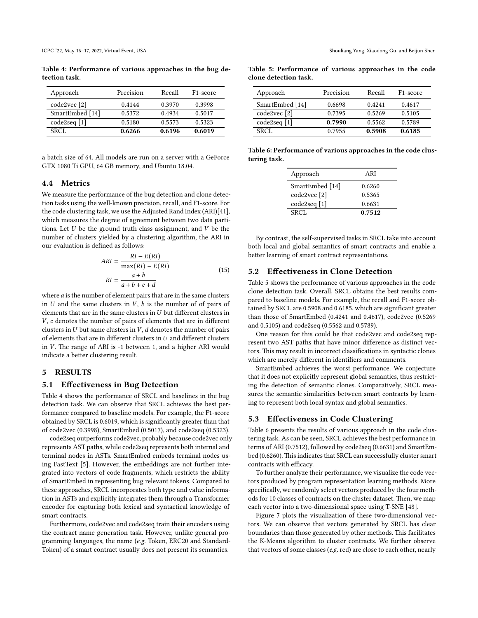<span id="page-7-0"></span>**Table 4: Performance of various approaches in the bug detection task.**

| Approach        | Precision | Recall | F <sub>1</sub> -score |
|-----------------|-----------|--------|-----------------------|
| code2vec [2]    | 0.4144    | 0.3970 | 0.3998                |
| SmartEmbed [14] | 0.5372    | 0.4934 | 0.5017                |
| code2seq [1]    | 0.5180    | 0.5573 | 0.5323                |
| SRCL.           | 0.6266    | 0.6196 | 0.6019                |
|                 |           |        |                       |

a batch size of 64. All models are run on a server with a GeForce GTX 1080 Ti GPU, 64 GB memory, and Ubuntu 18.04.

#### **4.4 Metrics**

We measure the performance of the bug detection and clone detection tasks using the well-known precision, recall, and F1-score. For the code clustering task, we use the Adjusted Rand Index (ARI)[[41\]](#page-10-31), which measures the degree of agreement between two data partitions. Let  $U$  be the ground truth class assignment, and  $V$  be the number of clusters yielded by a clustering algorithm, the ARI in our evaluation is defined as follows:

$$
ARI = \frac{RI - E(RI)}{\max(RI) - E(RI)}
$$
  

$$
RI = \frac{a+b}{a+b+c+d}
$$
 (15)

where  $a$  is the number of element pairs that are in the same clusters in  $U$  and the same clusters in  $V$ ,  $b$  is the number of of pairs of elements that are in the same clusters in  $U$  but different clusters in  $V$ ,  $c$  denotes the number of pairs of elements that are in different clusters in  $U$  but same clusters in  $V$ ,  $d$  denotes the number of pairs of elements that are in different clusters in  $U$  and different clusters in  $V$ . The range of ARI is -1 between 1, and a higher ARI would indicate a better clustering result.

## **5 RESULTS**

#### **5.1 Effectiveness in Bug Detection**

Table [4](#page-7-0) shows the performance of SRCL and baselines in the bug detection task. We can observe that SRCL achieves the best performance compared to baseline models. For example, the F1-score obtained by SRCL is 0.6019, which is significantly greater than that of code2vec (0.3998), SmartEmbed (0.5017), and code2seq (0.5323).

code2seq outperforms code2vec, probably because code2vec only represents AST paths, while code2seq represents both internal and terminal nodes in ASTs. SmartEmbed embeds terminal nodes using FastText [\[5](#page-10-33)]. However, the embeddings are not further integrated into vectors of code fragments, which restricts the ability of SmartEmbed in representing bug relevant tokens. Compared to these approaches, SRCL incorporates both type and value information in ASTs and explicitly integrates them through a Transformer encoder for capturing both lexical and syntactical knowledge of smart contracts.

Furthermore, code2vec and code2seq train their encoders using the contract name generation task. However, unlike general programming languages, the name (*e.g.* Token, ERC20 and Standard-Token) of a smart contract usually does not present its semantics.

<span id="page-7-1"></span>

| Table 5: Performance of various approaches in the code |  |  |  |
|--------------------------------------------------------|--|--|--|
| clone detection task.                                  |  |  |  |

| Approach        | Precision | Recall | F <sub>1</sub> -score |
|-----------------|-----------|--------|-----------------------|
| SmartEmbed [14] | 0.6698    | 0.4241 | 0.4617                |
| code2vec [2]    | 0.7395    | 0.5269 | 0.5105                |
| code2seq [1]    | 0.7990    | 0.5562 | 0.5789                |
| SRCL.           | 0.7955    | 0.5908 | 0.6185                |

<span id="page-7-2"></span>**Table 6: Performance of various approaches in the code clustering task.**

| ARI    |
|--------|
| 0.6260 |
| 0.5365 |
| 0.6631 |
| 0.7512 |
|        |

By contrast, the self-supervised tasks in SRCL take into account both local and global semantics of smart contracts and enable a better learning of smart contract representations.

#### **5.2 Effectiveness in Clone Detection**

Table [5](#page-7-1) shows the performance of various approaches in the code clone detection task. Overall, SRCL obtains the best results compared to baseline models. For example, the recall and F1-score obtained by SRCL are 0.5908 and 0.6185, which are significant greater than those of SmartEmbed (0.4241 and 0.4617), code2vec (0.5269 and 0.5105) and code2seq (0.5562 and 0.5789).

One reason for this could be that code2vec and code2seq represent two AST paths that have minor difference as distinct vectors. This may result in incorrect classifications in syntactic clones which are merely different in identifiers and comments.

SmartEmbed achieves the worst performance. We conjecture that it does not explicitly represent global semantics, thus restricting the detection of semantic clones. Comparatively, SRCL measures the semantic similarities between smart contracts by learning to represent both local syntax and global semantics.

#### **5.3 Effectiveness in Code Clustering**

Table [6](#page-7-2) presents the results of various approach in the code clustering task. As can be seen, SRCL achieves the best performance in terms of ARI (0.7512), followed by code2seq (0.6631) and SmartEmbed (0.6260). This indicates that SRCL can successfully cluster smart contracts with efficacy.

To further analyze their performance, we visualize the code vectors produced by program representation learning methods. More specifically, we randomly select vectors produced by the four methods for 10 classes of contracts on the cluster dataset. Then, we map each vector into a two-dimensional space using T-SNE[[48](#page-10-34)].

Figure [7](#page-8-0) plots the visualization of these two-dimensional vectors. We can observe that vectors generated by SRCL has clear boundaries than those generated by other methods. This facilitates the K-Means algorithm to cluster contracts. We further observe that vectors of some classes (*e.g.* red) are close to each other, nearly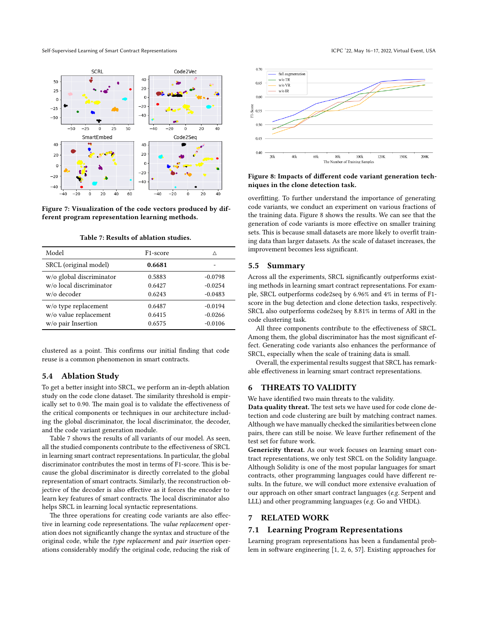<span id="page-8-0"></span>

**Figure 7: Visualization of the code vectors produced by different program representation learning methods.**

**Table 7: Results of ablation studies.**

<span id="page-8-1"></span>

| Model                    | F <sub>1</sub> -score | Λ         |
|--------------------------|-----------------------|-----------|
| SRCL (original model)    | 0.6681                |           |
| w/o global discriminator | 0.5883                | $-0.0798$ |
| w/o local discriminator  | 0.6427                | $-0.0254$ |
| w/o decoder              | 0.6243                | $-0.0483$ |
| w/o type replacement     | 0.6487                | $-0.0194$ |
| w/o value replacement    | 0.6415                | $-0.0266$ |
| w/o pair Insertion       | 0.6575                | $-0.0106$ |

clustered as a point. This confirms our initial finding that code reuse is a common phenomenon in smart contracts.

## **5.4 Ablation Study**

To get a better insight into SRCL, we perform an in-depth ablation study on the code clone dataset. The similarity threshold is empirically set to 0.90. The main goal is to validate the effectiveness of the critical components or techniques in our architecture including the global discriminator, the local discriminator, the decoder, and the code variant generation module.

Table [7](#page-8-1) shows the results of all variants of our model. As seen, all the studied components contribute to the effectiveness of SRCL in learning smart contract representations. In particular, the global discriminator contributes the most in terms of F1-score. This is because the global discriminator is directly correlated to the global representation of smart contracts. Similarly, the reconstruction objective of the decoder is also effective as it forces the encoder to learn key features of smart contracts. The local discriminator also helps SRCL in learning local syntactic representations.

The three operations for creating code variants are also effective in learning code representations. The *value replacement* operation does not significantly change the syntax and structure of the original code, while the *type replacement* and *pair insertion* operations considerably modify the original code, reducing the risk of

<span id="page-8-2"></span>

#### **Figure 8: Impacts of different code variant generation techniques in the clone detection task.**

overfitting. To further understand the importance of generating code variants, we conduct an experiment on various fractions of the training data. Figure [8](#page-8-2) shows the results. We can see that the generation of code variants is more effective on smaller training sets. This is because small datasets are more likely to overfit training data than larger datasets. As the scale of dataset increases, the improvement becomes less significant.

## **5.5 Summary**

Across all the experiments, SRCL significantly outperforms existing methods in learning smart contract representations. For example, SRCL outperforms code2seq by 6.96% and 4% in terms of F1 score in the bug detection and clone detection tasks, respectively. SRCL also outperforms code2seq by 8.81% in terms of ARI in the code clustering task.

All three components contribute to the effectiveness of SRCL. Among them, the global discriminator has the most significant effect. Generating code variants also enhances the performance of SRCL, especially when the scale of training data is small.

Overall, the experimental results suggest that SRCL has remarkable effectiveness in learning smart contract representations.

## **6 THREATS TO VALIDITY**

We have identified two main threats to the validity.

**Data quality threat.** The test sets we have used for code clone detection and code clustering are built by matching contract names. Although we have manually checked the similarities between clone pairs, there can still be noise. We leave further refinement of the test set for future work.

**Genericity threat.** As our work focuses on learning smart contract representations, we only test SRCL on the Solidity language. Although Solidity is one of the most popular languages for smart contracts, other programming languages could have different results. In the future, we will conduct more extensive evaluation of our approach on other smart contract languages (*e.g.* Serpent and LLL) and other programming languages (*e.g.* Go and VHDL).

## **7 RELATED WORK**

#### **7.1 Learning Program Representations**

Learning program representations has been a fundamental problem in software engineering [\[1](#page-9-2), [2](#page-9-1), [6,](#page-10-35) [57](#page-11-6)]. Existing approaches for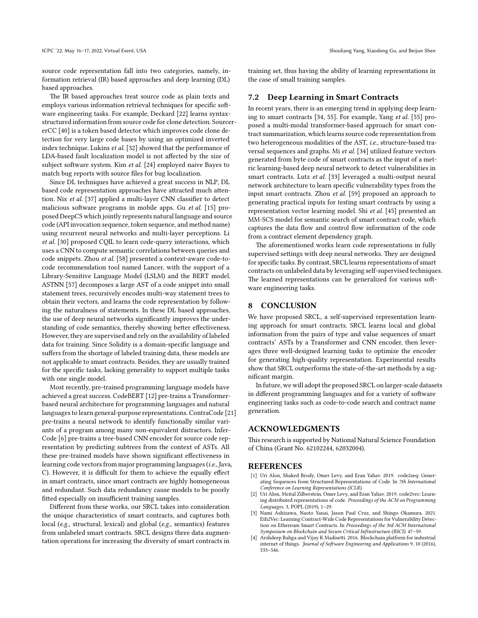source code representation fall into two categories, namely, information retrieval (IR) based approaches and deep learning (DL) based approaches.

The IR based approaches treat source code as plain texts and employs various information retrieval techniques for specific software engineering tasks. For example, Deckard [\[22\]](#page-10-36) learns syntaxstructured information from source code for clone detection. SourcererCC [\[40](#page-10-37)] is a token based detector which improves code clone detection for very large code bases by using an optimized inverted index technique. Lukins *et al.* [[32](#page-10-38)] showed that the performance of LDA-based fault localization model is not affected by the size of subject software system. Kim *et al.* [[24\]](#page-10-39) employed naive Bayes to match bug reports with source files for bug localization.

Since DL techniques have achieved a great success in NLP, DL based code representation approaches have attracted much attention. Nix *et al.* [\[37](#page-10-40)] applied a multi-layer CNN classifier to detect malicious software programs in mobile apps. Gu *et al.* [\[15](#page-10-41)] proposed DeepCS which jointly represents natural language and source code (API invocation sequence, token sequence, and method name) using recurrent neural networks and multi-layer perceptions. Li *et al.* [[30](#page-10-42)] proposed CQIL to learn code-query interactions, which uses a CNN to compute semantic correlations between queries and code snippets. Zhou *et al.* [\[58\]](#page-11-8) presented a context-aware code-tocode recommendation tool named Lancer, with the support of a Library-Sensitive Language Model (LSLM) and the BERT model. ASTNN [\[57\]](#page-11-6) decomposes a large AST of a code snippet into small statement trees, recursively encodes multi-way statement trees to obtain their vectors, and learns the code representation by following the naturalness of statements. In these DL based approaches, the use of deep neural networks significantly improves the understanding of code semantics, thereby showing better effectiveness. However, they are supervised and rely on the availability of labeled data for training. Since Solidity is a domain-specific language and suffers from the shortage of labeled training data, these models are not applicable to smart contracts. Besides, they are usually trained for the specific tasks, lacking generality to support multiple tasks with one single model.

Most recently, pre-trained programming language models have achieved a great success. CodeBERT[[12\]](#page-10-32) pre-trains a Transformerbased neural architecture for programming languages and natural languages to learn general-purpose representations. ContraCode [\[21\]](#page-10-43) pre-trains a neural network to identify functionally similar variants of a program among many non-equivalent distractors. Infer-Code[[6](#page-10-35)] pre-trains a tree-based CNN encoder for source code representation by predicting subtrees from the context of ASTs. All these pre-trained models have shown significant effectiveness in learning code vectors from major programming languages (*i.e.*, Java, C). However, it is difficult for them to achieve the equally effect in smart contracts, since smart contracts are highly homogeneous and redundant. Such data redundancy cause models to be poorly fitted especially on insufficient training samples.

Different from these works, our SRCL takes into consideration the unique characteristics of smart contracts, and captures both local (*e.g.*, structural, lexical) and global (*e.g.*, semantics) features from unlabeled smart contracts. SRCL designs three data augmentation operations for increasing the diversity of smart contracts in

training set, thus having the ability of learning representations in the case of small training samples.

#### **7.2 Deep Learning in Smart Contracts**

In recent years, there is an emerging trend in applying deep learning to smart contracts [\[34](#page-10-44), [55](#page-11-1)]. For example, Yang *et al.* [[55](#page-11-1)] proposed a multi-modal transformer-based approach for smart contract summarization, which learns source code representation from two heterogeneous modalities of the AST, *i.e.*, structure-based traversal sequences and graphs. Mi *et al.* [[34\]](#page-10-44) utilized feature vectors generated from byte code of smart contracts as the input of a metric learning-based deep neural network to detect vulnerabilities in smart contracts. Lutz *et al.* [\[33](#page-10-45)] leveraged a multi-output neural network architecture to learn specific vulnerability types from the input smart contracts. Zhou *et al.* [[59](#page-11-9)] proposed an approach to generating practical inputs for testing smart contracts by using a representation vector learning model. Shi *et al.* [[45](#page-10-5)] presented an MM-SCS model for semantic search of smart contract code, which captures the data flow and control flow information of the code from a contract element dependency graph.

The aforementioned works learn code representations in fully supervised settings with deep neural networks. They are designed for specific tasks. By contrast, SRCL learns representations of smart contracts on unlabeled data by leveraging self-supervised techniques. The learned representations can be generalized for various software engineering tasks.

## **8 CONCLUSION**

We have proposed SRCL, a self-supervised representation learning approach for smart contracts. SRCL learns local and global information from the pairs of type and value sequences of smart contracts' ASTs by a Transformer and CNN encoder, then leverages three well-designed learning tasks to optimize the encoder for generating high-quality representation. Experimental results show that SRCL outperforms the state-of-the-art methods by a significant margin.

In future, we will adopt the proposed SRCL on larger-scale datasets in different programming languages and for a variety of software engineering tasks such as code-to-code search and contract name generation.

## **ACKNOWLEDGMENTS**

This research is supported by National Natural Science Foundation of China (Grant No. 62102244, 62032004).

#### **REFERENCES**

- <span id="page-9-2"></span>[1] Uri Alon, Shaked Brody, Omer Levy, and Eran Yahav. 2019. code2seq: Generating Sequences from Structured Representations of Code. In *7th International Conference on Learning Representations (ICLR)*.
- <span id="page-9-1"></span>Uri Alon, Meital Zilberstein, Omer Levy, and Eran Yahav. 2019. code2vec: Learning distributed representations of code. *Proceedings of the ACM on Programming Languages.* 3, POPL (2019), 1–29.
- <span id="page-9-0"></span>[3] Nami Ashizawa, Naoto Yanai, Jason Paul Cruz, and Shingo Okamura. 2021. Eth2Vec: Learning Contract-Wide Code Representations for Vulnerability Detection on Ethereum Smart Contracts. In *Proceedings of the 3rd ACM International Symposium on Blockchain and Secure Critical Infrastructure (BSCI)*. 47–59.
- <span id="page-9-3"></span>[4] Arshdeep Bahga and Vijay K Madisetti. 2016. Blockchain platform for industrial internet of things. *Journal of Software Engineering and Applications* 9, 10 (2016), 533–546.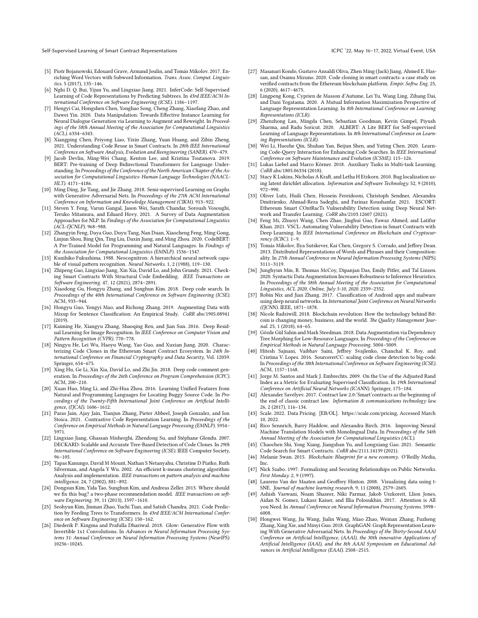- <span id="page-10-33"></span>[5] Piotr Bojanowski, Edouard Grave, Armand Joulin, and Tomás Mikolov. 2017. Enriching Word Vectors with Subword Information. *Trans. Assoc. Comput. Linguistics.* 5 (2017), 135–146.
- <span id="page-10-35"></span>[6] Nghi D. Q. Bui, Yijun Yu, and Lingxiao Jiang. 2021. InferCode: Self-Supervised Learning of Code Representations by Predicting Subtrees. In *43rd IEEE/ACM International Conference on Software Engineering (ICSE)*. 1186–1197.
- <span id="page-10-15"></span>[7] Hengyi Cai, Hongshen Chen, Yonghao Song, Cheng Zhang, Xiaofang Zhao, and Dawei Yin. 2020. Data Manipulation: Towards Effective Instance Learning for Neural Dialogue Generation via Learning to Augment and Reweight. In *Proceedings of the 58th Annual Meeting of the Association for Computational Linguistics (ACL)*. 6334–6343.
- <span id="page-10-8"></span>[8] Xiangping Chen, Peiyong Liao, Yixin Zhang, Yuan Huang, and Zibin Zheng. 2021. Understanding Code Reuse in Smart Contracts. In *28th IEEE International Conference on Software Analysis, Evolution and Reengineering (SANER)*. 470–479.
- <span id="page-10-19"></span>[9] Jacob Devlin, Ming-Wei Chang, Kenton Lee, and Kristina Toutanova. 2019. BERT: Pre-training of Deep Bidirectional Transformers for Language Understanding. In *Proceedings of the Conference of the North American Chapter of the Association for Computational Linguistics: Human Language Technologies (NAACL-HLT)*. 4171–4186.
- <span id="page-10-21"></span>[10] Ming Ding, Jie Tang, and Jie Zhang. 2018. Semi-supervised Learning on Graphs with Generative Adversarial Nets. In *Proceedings of the 27th ACM International Conference on Information and Knowledge Management (CIKM)*. 913–922.
- <span id="page-10-11"></span>[11] Steven Y. Feng, Varun Gangal, Jason Wei, Sarath Chandar, Soroush Vosoughi, Teruko Mitamura, and Eduard Hovy. 2021. A Survey of Data Augmentation Approaches for NLP. In *Findings of the Association for Computational Linguistics (ACL-IJCNLP)*. 968–988.
- <span id="page-10-32"></span>[12] Zhangyin Feng, Daya Guo, Duyu Tang, Nan Duan, Xiaocheng Feng, Ming Gong, Linjun Shou, Bing Qin, Ting Liu, Daxin Jiang, and Ming Zhou. 2020. CodeBERT: A Pre-Trained Model for Programming and Natural Languages. In *Findings of the Association for Computational Linguistics (EMNLP)*. 1536–1547.
- <span id="page-10-28"></span>[13] Kunihiko Fukushima. 1988. Neocognitron: A hierarchical neural network capable of visual pattern recognition. *Neural Networks.* 1, 2 (1988), 119–130.
- <span id="page-10-4"></span>[14] Zhipeng Gao, Lingxiao Jiang, Xin Xia, David Lo, and John Grundy. 2021. Checking Smart Contracts With Structural Code Embedding. *IEEE Transactions on Software Engineering.* 47, 12 (2021), 2874–2891.
- <span id="page-10-41"></span>[15] Xiaodong Gu, Hongyu Zhang, and Sunghun Kim. 2018. Deep code search. In *Proceedings of the 40th International Conference on Software Engineering (ICSE)*. ACM, 933–944.
- <span id="page-10-16"></span>[16] Hongyu Guo, Yongyi Mao, and Richong Zhang. 2019. Augmenting Data with Mixup for Sentence Classification: An Empirical Study. *CoRR* abs/1905.08941 (2019).
- <span id="page-10-17"></span>[17] Kaiming He, Xiangyu Zhang, Shaoqing Ren, and Jian Sun. 2016. Deep Residual Learning for Image Recognition. In *IEEE Conference on Computer Vision and Pattern Recognition (CVPR)*. 770–778.
- <span id="page-10-0"></span>[18] Ningyu He, Lei Wu, Haoyu Wang, Yao Guo, and Xuxian Jiang. 2020. Characterizing Code Clones in the Ethereum Smart Contract Ecosystem. In *24th International Conference on Financial Cryptography and Data Security*, Vol. 12059. Springer, 654–675.
- <span id="page-10-25"></span>[19] Xing Hu, Ge Li, Xin Xia, David Lo, and Zhi Jin. 2018. Deep code comment generation. In *Proceedings of the 26th Conference on Program Comprehension (ICPC)*. ACM, 200–210.
- <span id="page-10-6"></span>[20] Xuan Huo, Ming Li, and Zhi-Hua Zhou. 2016. Learning Unified Features from Natural and Programming Languages for Locating Buggy Source Code. In *Proceedings of the Twenty-Fifth International Joint Conference on Artificial Intelligence, (IJCAI)*. 1606–1612.
- <span id="page-10-43"></span>[21] Paras Jain, Ajay Jain, Tianjun Zhang, Pieter Abbeel, Joseph Gonzalez, and Ion Stoica. 2021. Contrastive Code Representation Learning. In *Proceedings of the Conference on Empirical Methods in Natural Language Processing (EMNLP)*. 5954– 5971.
- <span id="page-10-36"></span>[22] Lingxiao Jiang, Ghassan Misherghi, Zhendong Su, and Stéphane Glondu. 2007. DECKARD: Scalable and Accurate Tree-Based Detection of Code Clones. In *29th International Conference on Software Engineering (ICSE)*. IEEE Computer Society, 96–105.
- <span id="page-10-30"></span>[23] Tapas Kanungo, David M Mount, Nathan S Netanyahu, Christine D Piatko, Ruth Silverman, and Angela Y Wu. 2002. An efficient k-means clustering algorithm: Analysis and implementation. *IEEE transactions on pattern analysis and machine intelligence.* 24, 7 (2002), 881–892.
- <span id="page-10-39"></span>[24] Dongsun Kim, Yida Tao, Sunghun Kim, and Andreas Zeller. 2013. Where should we fix this bug? a two-phase recommendation model. *IEEE transactions on software Engineering.* 39, 11 (2013), 1597–1610.
- <span id="page-10-26"></span>[25] Seohyun Kim, Jinman Zhao, Yuchi Tian, and Satish Chandra. 2021. Code Prediction by Feeding Trees to Transformers. In *43rd IEEE/ACM International Conference on Software Engineering (ICSE)*. 150–162.
- <span id="page-10-18"></span>[26] Diederik P. Kingma and Prafulla Dhariwal. 2018. Glow: Generative Flow with Invertible 1x1 Convolutions. In *Advances in Neural Information Processing Systems 31: Annual Conference on Neural Information Processing Systems (NeurIPS)*. 10236–10245.
- <span id="page-10-9"></span>[27] Masanari Kondo, Gustavo Ansaldi Oliva, Zhen Ming (Jack) Jiang, Ahmed E. Hassan, and Osamu Mizuno. 2020. Code cloning in smart contracts: a case study on verified contracts from the Ethereum blockchain platform. *Empir. Softw. Eng.* 25, 6 (2020), 4617–4675.
- <span id="page-10-24"></span>[28] Lingpeng Kong, Cyprien de Masson d'Autume, Lei Yu, Wang Ling, Zihang Dai, and Dani Yogatama. 2020. A Mutual Information Maximization Perspective of Language Representation Learning. In *8th International Conference on Learning Representations (ICLR)*.
- <span id="page-10-20"></span>[29] Zhenzhong Lan, Mingda Chen, Sebastian Goodman, Kevin Gimpel, Piyush Sharma, and Radu Soricut. 2020. ALBERT: A Lite BERT for Self-supervised Learning of Language Representations. In *8th International Conference on Learning Representations (ICLR)*.
- <span id="page-10-42"></span>[30] Wei Li, Haozhe Qin, Shuhan Yan, Beijun Shen, and Yuting Chen. 2020. Learning Code-Query Interaction for Enhancing Code Searches. In *IEEE International Conference on Software Maintenance and Evolution (ICSME)*. 115–126.
- <span id="page-10-29"></span>[31] Lukas Liebel and Marco Körner. 2018. Auxiliary Tasks in Multi-task Learning. *CoRR* abs/1805.06334 (2018).
- <span id="page-10-38"></span>[32] Stacy K Lukins, Nicholas A Kraft, and Letha H Etzkorn. 2010. Bug localization using latent dirichlet allocation. *Information and Software Technology.* 52, 9 (2010), 972–990.
- <span id="page-10-45"></span>[33] Oliver Lutz, Huili Chen, Hossein Fereidooni, Christoph Sendner, Alexandra Dmitrienko, Ahmad-Reza Sadeghi, and Farinaz Koushanfar. 2021. ESCORT: Ethereum Smart COntRacTs Vulnerability Detection using Deep Neural Network and Transfer Learning. *CoRR* abs/2103.12607 (2021).
- <span id="page-10-44"></span>[34] Feng Mi, Zhuoyi Wang, Chen Zhao, Jinghui Guo, Fawaz Ahmed, and Latifur Khan. 2021. VSCL: Automating Vulnerability Detection in Smart Contracts with Deep Learning. In *IEEE International Conference on Blockchain and Cryptocurrency (ICBC)*. 1–9.
- <span id="page-10-23"></span>[35] Tomás Mikolov, Ilya Sutskever, Kai Chen, Gregory S. Corrado, and Jeffrey Dean. 2013. Distributed Representations of Words and Phrases and their Compositionality. In *27th Annual Conference on Neural Information Processing Systems (NIPS)*. 3111–3119.
- <span id="page-10-12"></span>[36] Junghyun Min, R. Thomas McCoy, Dipanjan Das, Emily Pitler, and Tal Linzen. 2020. Syntactic Data Augmentation Increases Robustness to Inference Heuristics. In *Proceedings of the 58th Annual Meeting of the Association for Computational*
- <span id="page-10-40"></span>*Linguistics, ACL 2020, Online, July 5-10, 2020*. 2339–2352. [37] Robin Nix and Jian Zhang. 2017. Classification of Android apps and malware using deep neural networks. In *International Joint Conference on Neural Networks (IJCNN)*. IEEE, 1871–1878.
- <span id="page-10-1"></span>[38] Nicole Radziwill. 2018. Blockchain revolution: How the technology behind Bitcoin is changing money, business, and the world. *The Quality Management Journal.* 25, 1 (2018), 64–65.
- <span id="page-10-13"></span>[39] Gözde Gül Sahin and Mark Steedman. 2018. Data Augmentation via Dependency Tree Morphing for Low-Resource Languages. In *Proceedings of the Conference on Empirical Methods in Natural Language Processing*. 5004–5009.
- <span id="page-10-37"></span>[40] Hitesh Sajnani, Vaibhav Saini, Jeffrey Svajlenko, Chanchal K. Roy, and Cristina V. Lopes. 2016. SourcererCC: scaling code clone detection to big-code. In *Proceedings of the 38th International Conference on Software Engineering (ICSE)*. ACM, 1157–1168.
- <span id="page-10-31"></span>[41] Jorge M. Santos and Mark J. Embrechts. 2009. On the Use of the Adjusted Rand Index as a Metric for Evaluating Supervised Classification. In *19th International Conference on Artificial Neural Networks (ICANN)*. Springer, 175–184.
- <span id="page-10-2"></span>[42] Alexander Savelyev. 2017. Contract law 2.0:'Smart'contracts as the beginning of the end of classic contract law. *Information & communications technology law.* 26, 2 (2017), 116–134.
- <span id="page-10-7"></span>[43] Scale. 2022. Data Pricing. [EB/OL]. [https://scale.com/pricing,](https://scale.com/pricing) Accessed March 10, 2022.
- <span id="page-10-14"></span>[44] Rico Sennrich, Barry Haddow, and Alexandra Birch. 2016. Improving Neural Machine Translation Models with Monolingual Data. In *Proceedings of the 54th Annual Meeting of the Association for Computational Linguistics (ACL)*.
- <span id="page-10-5"></span>[45] Chaochen Shi, Yong Xiang, Jiangshan Yu, and Longxiang Gao. 2021. Semantic Code Search for Smart Contracts. *CoRR* abs/2111.14139 (2021).
- <span id="page-10-3"></span>[46] Melanie Swan. 2015. *Blockchain: Blueprint for a new economy*. O'Reilly Media,
- <span id="page-10-10"></span>Inc. [47] Nick Szabo. 1997. Formalizing and Securing Relationships on Public Networks. *First Monday.* 2, 9 (1997).
- <span id="page-10-34"></span>[48] Laurens Van der Maaten and Geoffrey Hinton. 2008. Visualizing data using t-SNE. *Journal of machine learning research.* 9, 11 (2008), 2579–2605.
- <span id="page-10-27"></span>[49] Ashish Vaswani, Noam Shazeer, Niki Parmar, Jakob Uszkoreit, Llion Jones, Aidan N. Gomez, Lukasz Kaiser, and Illia Polosukhin. 2017. Attention is All you Need. In *Annual Conference on Neural Information Processing Systems*. 5998– 6008.
- <span id="page-10-22"></span>[50] Hongwei Wang, Jia Wang, Jialin Wang, Miao Zhao, Weinan Zhang, Fuzheng Zhang, Xing Xie, and Minyi Guo. 2018. GraphGAN: Graph Representation Learning With Generative Adversarial Nets. In *Proceedings of the Thirty-Second AAAI Conference on Artificial Intelligence, (AAAI), the 30th innovative Applications of Artificial Intelligence (IAAI), and the 8th AAAI Symposium on Educational Advances in Artificial Intelligence (EAAI)*. 2508–2515.